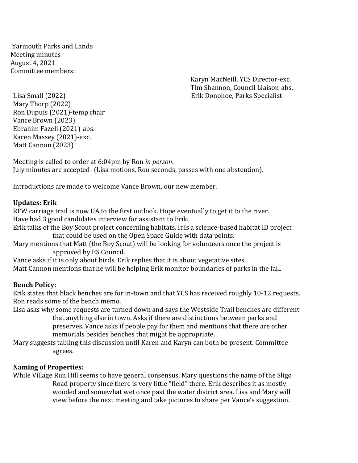Yarmouth Parks and Lands Meeting minutes August 4, 2021 Committee members:

Karyn MacNeill, YCS Director-exc. Tim Shannon, Council Liaison-abs. Lisa Small (2022) Erik Donohoe, Parks Specialist

Mary Thorp (2022) Ron Dupuis (2021)-temp chair Vance Brown (2023) Ebrahim Fazeli (2021)-abs. Karen Massey (2021)-exc. Matt Cannon (2023)

Meeting is called to order at 6:04pm by Ron *in person*. July minutes are accepted- (Lisa motions, Ron seconds, passes with one abstention).

Introductions are made to welcome Vance Brown, our new member.

#### **Updates: Erik**

RFW carriage trail is now UA to the first outlook. Hope eventually to get it to the river. Have had 3 good candidates interview for assistant to Erik.

Erik talks of the Boy Scout project concerning habitats. It is a science-based habitat ID project that could be used on the Open Space Guide with data points.

Mary mentions that Matt (the Boy Scout) will be looking for volunteers once the project is approved by BS Council.

Vance asks if it is only about birds. Erik replies that it is about vegetative sites. Matt Cannon mentions that he will be helping Erik monitor boundaries of parks in the fall.

## **Bench Policy:**

Erik states that black benches are for in-town and that YCS has received roughly 10-12 requests. Ron reads some of the bench memo.

Lisa asks why some requests are turned down and says the Westside Trail benches are different that anything else in town. Asks if there are distinctions between parks and preserves. Vance asks if people pay for them and mentions that there are other

memorials besides benches that might be appropriate.

Mary suggests tabling this discussion until Karen and Karyn can both be present. Committee agrees.

## **Naming of Properties:**

While Village Run Hill seems to have general consensus, Mary questions the name of the Sligo Road property since there is very little "field" there. Erik describes it as mostly wooded and somewhat wet once past the water district area. Lisa and Mary will view before the next meeting and take pictures to share per Vance's suggestion.